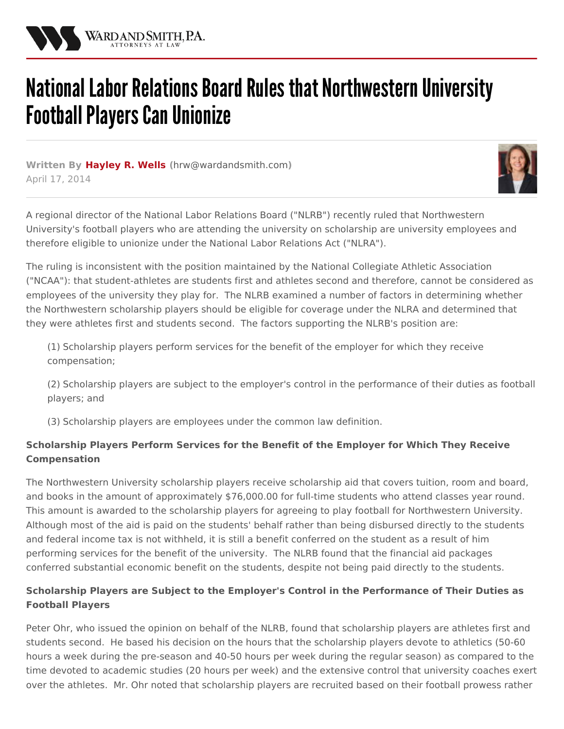

## National Labor Relations Board Rules that Northwestern University **Football Players Can Unionize**

**Written By [Hayley](/attorneys/hayley-wells) R. Wells (**[hrw@wardandsmith.com](mailto:hrw@wardandsmith.com)**)** April 17, 2014



A regional director of the National Labor Relations Board ("NLRB") recently ruled that Northwestern University's football players who are attending the university on scholarship are university employees and therefore eligible to unionize under the National Labor Relations Act ("NLRA").

The ruling is inconsistent with the position maintained by the National Collegiate Athletic Association ("NCAA"): that student-athletes are students first and athletes second and therefore, cannot be considered as employees of the university they play for. The NLRB examined a number of factors in determining whether the Northwestern scholarship players should be eligible for coverage under the NLRA and determined that they were athletes first and students second. The factors supporting the NLRB's position are:

(1) Scholarship players perform services for the benefit of the employer for which they receive compensation;

(2) Scholarship players are subject to the employer's control in the performance of their duties as football players; and

(3) Scholarship players are employees under the common law definition.

## **Scholarship Players Perform Services for the Benefit of the Employer for Which They Receive Compensation**

The Northwestern University scholarship players receive scholarship aid that covers tuition, room and board, and books in the amount of approximately \$76,000.00 for full-time students who attend classes year round. This amount is awarded to the scholarship players for agreeing to play football for Northwestern University. Although most of the aid is paid on the students' behalf rather than being disbursed directly to the students and federal income tax is not withheld, it is still a benefit conferred on the student as a result of him performing services for the benefit of the university. The NLRB found that the financial aid packages conferred substantial economic benefit on the students, despite not being paid directly to the students.

## **Scholarship Players are Subject to the Employer's Control in the Performance of Their Duties as Football Players**

Peter Ohr, who issued the opinion on behalf of the NLRB, found that scholarship players are athletes first and students second. He based his decision on the hours that the scholarship players devote to athletics (50-60 hours a week during the pre-season and 40-50 hours per week during the regular season) as compared to the time devoted to academic studies (20 hours per week) and the extensive control that university coaches exert over the athletes. Mr. Ohr noted that scholarship players are recruited based on their football prowess rather